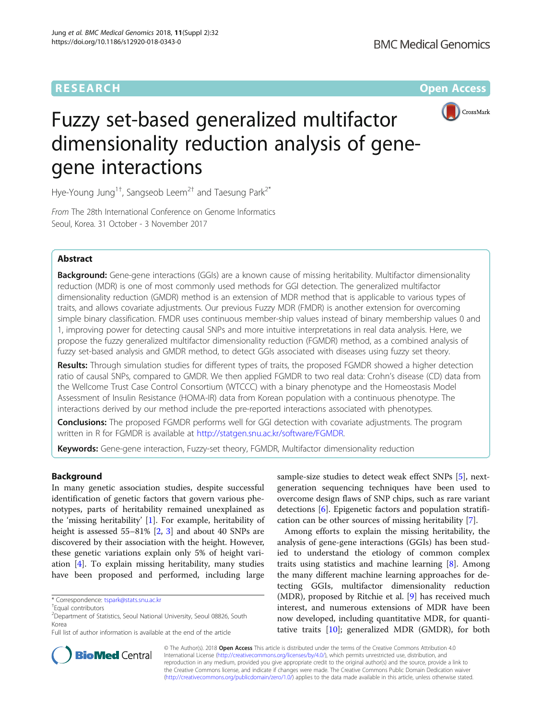## **RESEARCH CHE Open Access**



# Fuzzy set-based generalized multifactor dimensionality reduction analysis of genegene interactions

Hye-Young Jung<sup>1†</sup>, Sangseob Leem<sup>2†</sup> and Taesung Park<sup>2\*</sup>

From The 28th International Conference on Genome Informatics Seoul, Korea. 31 October - 3 November 2017

## Abstract

**Background:** Gene-gene interactions (GGIs) are a known cause of missing heritability. Multifactor dimensionality reduction (MDR) is one of most commonly used methods for GGI detection. The generalized multifactor dimensionality reduction (GMDR) method is an extension of MDR method that is applicable to various types of traits, and allows covariate adjustments. Our previous Fuzzy MDR (FMDR) is another extension for overcoming simple binary classification. FMDR uses continuous member-ship values instead of binary membership values 0 and 1, improving power for detecting causal SNPs and more intuitive interpretations in real data analysis. Here, we propose the fuzzy generalized multifactor dimensionality reduction (FGMDR) method, as a combined analysis of fuzzy set-based analysis and GMDR method, to detect GGIs associated with diseases using fuzzy set theory.

Results: Through simulation studies for different types of traits, the proposed FGMDR showed a higher detection ratio of causal SNPs, compared to GMDR. We then applied FGMDR to two real data: Crohn's disease (CD) data from the Wellcome Trust Case Control Consortium (WTCCC) with a binary phenotype and the Homeostasis Model Assessment of Insulin Resistance (HOMA-IR) data from Korean population with a continuous phenotype. The interactions derived by our method include the pre-reported interactions associated with phenotypes.

**Conclusions:** The proposed FGMDR performs well for GGI detection with covariate adjustments. The program written in R for FGMDR is available at <http://statgen.snu.ac.kr/software/FGMDR>.

Keywords: Gene-gene interaction, Fuzzy-set theory, FGMDR, Multifactor dimensionality reduction

## Background

In many genetic association studies, despite successful identification of genetic factors that govern various phenotypes, parts of heritability remained unexplained as the 'missing heritability' [\[1\]](#page-8-0). For example, heritability of height is assessed 55–81% [[2,](#page-8-0) [3](#page-8-0)] and about 40 SNPs are discovered by their association with the height. However, these genetic variations explain only 5% of height variation [[4\]](#page-8-0). To explain missing heritability, many studies have been proposed and performed, including large

sample-size studies to detect weak effect SNPs [[5\]](#page-8-0), nextgeneration sequencing techniques have been used to overcome design flaws of SNP chips, such as rare variant detections [[6\]](#page-8-0). Epigenetic factors and population stratification can be other sources of missing heritability [\[7](#page-8-0)].

Among efforts to explain the missing heritability, the analysis of gene-gene interactions (GGIs) has been studied to understand the etiology of common complex traits using statistics and machine learning [[8\]](#page-8-0). Among the many different machine learning approaches for detecting GGIs, multifactor dimensionality reduction (MDR), proposed by Ritchie et al. [\[9](#page-8-0)] has received much interest, and numerous extensions of MDR have been now developed, including quantitative MDR, for quantitative traits  $[10]$ ; generalized MDR (GMDR), for both



© The Author(s). 2018 Open Access This article is distributed under the terms of the Creative Commons Attribution 4.0 International License [\(http://creativecommons.org/licenses/by/4.0/](http://creativecommons.org/licenses/by/4.0/)), which permits unrestricted use, distribution, and reproduction in any medium, provided you give appropriate credit to the original author(s) and the source, provide a link to the Creative Commons license, and indicate if changes were made. The Creative Commons Public Domain Dedication waiver [\(http://creativecommons.org/publicdomain/zero/1.0/](http://creativecommons.org/publicdomain/zero/1.0/)) applies to the data made available in this article, unless otherwise stated.

<sup>\*</sup> Correspondence: [tspark@stats.snu.ac.kr](mailto:tspark@stats.snu.ac.kr) †

Equal contributors

<sup>2</sup> Department of Statistics, Seoul National University, Seoul 08826, South Korea

Full list of author information is available at the end of the article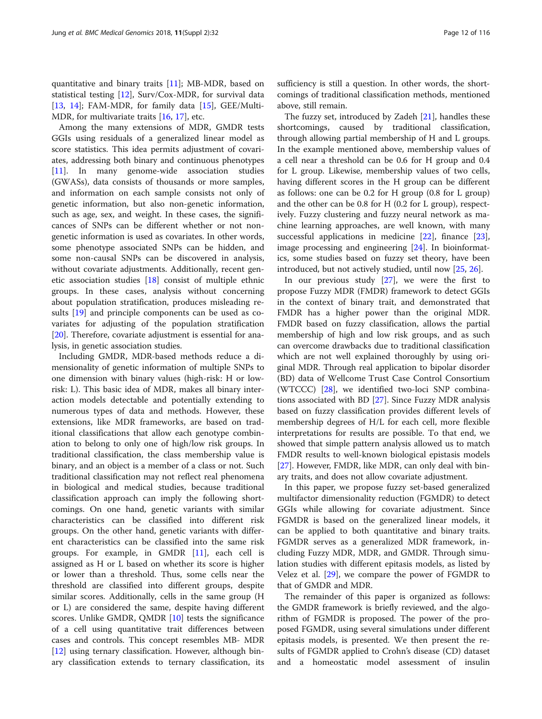Among the many extensions of MDR, GMDR tests GGIs using residuals of a generalized linear model as score statistics. This idea permits adjustment of covariates, addressing both binary and continuous phenotypes [[11\]](#page-9-0). In many genome-wide association studies (GWASs), data consists of thousands or more samples, and information on each sample consists not only of genetic information, but also non-genetic information, such as age, sex, and weight. In these cases, the significances of SNPs can be different whether or not nongenetic information is used as covariates. In other words, some phenotype associated SNPs can be hidden, and some non-causal SNPs can be discovered in analysis, without covariate adjustments. Additionally, recent genetic association studies [\[18](#page-9-0)] consist of multiple ethnic groups. In these cases, analysis without concerning about population stratification, produces misleading results [\[19](#page-9-0)] and principle components can be used as covariates for adjusting of the population stratification [[20\]](#page-9-0). Therefore, covariate adjustment is essential for analysis, in genetic association studies.

Including GMDR, MDR-based methods reduce a dimensionality of genetic information of multiple SNPs to one dimension with binary values (high-risk: H or lowrisk: L). This basic idea of MDR, makes all binary interaction models detectable and potentially extending to numerous types of data and methods. However, these extensions, like MDR frameworks, are based on traditional classifications that allow each genotype combination to belong to only one of high/low risk groups. In traditional classification, the class membership value is binary, and an object is a member of a class or not. Such traditional classification may not reflect real phenomena in biological and medical studies, because traditional classification approach can imply the following shortcomings. On one hand, genetic variants with similar characteristics can be classified into different risk groups. On the other hand, genetic variants with different characteristics can be classified into the same risk groups. For example, in GMDR [\[11](#page-9-0)], each cell is assigned as H or L based on whether its score is higher or lower than a threshold. Thus, some cells near the threshold are classified into different groups, despite similar scores. Additionally, cells in the same group (H or L) are considered the same, despite having different scores. Unlike GMDR, QMDR [\[10\]](#page-9-0) tests the significance of a cell using quantitative trait differences between cases and controls. This concept resembles MB- MDR [[12\]](#page-9-0) using ternary classification. However, although binary classification extends to ternary classification, its sufficiency is still a question. In other words, the shortcomings of traditional classification methods, mentioned above, still remain.

The fuzzy set, introduced by Zadeh [\[21\]](#page-9-0), handles these shortcomings, caused by traditional classification, through allowing partial membership of H and L groups. In the example mentioned above, membership values of a cell near a threshold can be 0.6 for H group and 0.4 for L group. Likewise, membership values of two cells, having different scores in the H group can be different as follows: one can be 0.2 for H group (0.8 for L group) and the other can be 0.8 for H (0.2 for L group), respectively. Fuzzy clustering and fuzzy neural network as machine learning approaches, are well known, with many successful applications in medicine [[22](#page-9-0)], finance [\[23](#page-9-0)], image processing and engineering [[24\]](#page-9-0). In bioinformatics, some studies based on fuzzy set theory, have been introduced, but not actively studied, until now [[25,](#page-9-0) [26\]](#page-9-0).

In our previous study  $[27]$ , we were the first to propose Fuzzy MDR (FMDR) framework to detect GGIs in the context of binary trait, and demonstrated that FMDR has a higher power than the original MDR. FMDR based on fuzzy classification, allows the partial membership of high and low risk groups, and as such can overcome drawbacks due to traditional classification which are not well explained thoroughly by using original MDR. Through real application to bipolar disorder (BD) data of Wellcome Trust Case Control Consortium (WTCCC) [\[28\]](#page-9-0), we identified two-loci SNP combinations associated with BD [\[27](#page-9-0)]. Since Fuzzy MDR analysis based on fuzzy classification provides different levels of membership degrees of H/L for each cell, more flexible interpretations for results are possible. To that end, we showed that simple pattern analysis allowed us to match FMDR results to well-known biological epistasis models [[27\]](#page-9-0). However, FMDR, like MDR, can only deal with binary traits, and does not allow covariate adjustment.

In this paper, we propose fuzzy set-based generalized multifactor dimensionality reduction (FGMDR) to detect GGIs while allowing for covariate adjustment. Since FGMDR is based on the generalized linear models, it can be applied to both quantitative and binary traits. FGMDR serves as a generalized MDR framework, including Fuzzy MDR, MDR, and GMDR. Through simulation studies with different epitasis models, as listed by Velez et al.  $[29]$ , we compare the power of FGMDR to that of GMDR and MDR.

The remainder of this paper is organized as follows: the GMDR framework is briefly reviewed, and the algorithm of FGMDR is proposed. The power of the proposed FGMDR, using several simulations under different epitasis models, is presented. We then present the results of FGMDR applied to Crohn's disease (CD) dataset and a homeostatic model assessment of insulin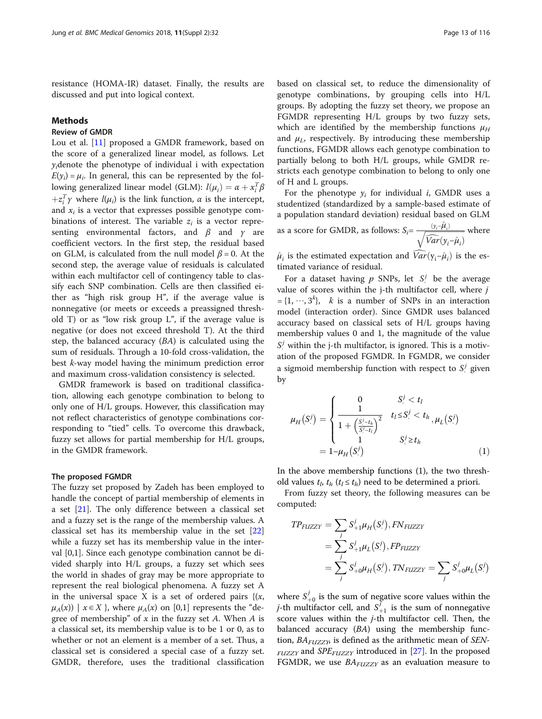resistance (HOMA-IR) dataset. Finally, the results are discussed and put into logical context.

## Methods

## Review of GMDR

Lou et al. [[11](#page-9-0)] proposed a GMDR framework, based on the score of a generalized linear model, as follows. Let  $y_i$  denote the phenotype of individual i with expectation  $E(y_i) = \mu_i$ . In general, this can be represented by the following generalized linear model (GLM):  $l(\mu_i) = \alpha + x_i^T \beta$  $+z_i^T \gamma$  where  $l(\mu_i)$  is the link function,  $\alpha$  is the intercept, and  $x_i$  is a vector that expresses possible genotype combinations of interest. The variable  $z_i$  is a vector representing environmental factors, and  $\beta$  and  $\gamma$  are coefficient vectors. In the first step, the residual based on GLM, is calculated from the null model  $\beta$  = 0. At the second step, the average value of residuals is calculated within each multifactor cell of contingency table to classify each SNP combination. Cells are then classified either as "high risk group H", if the average value is nonnegative (or meets or exceeds a preassigned threshold T) or as "low risk group L", if the average value is negative (or does not exceed threshold T). At the third step, the balanced accuracy (BA) is calculated using the sum of residuals. Through a 10-fold cross-validation, the best k-way model having the minimum prediction error and maximum cross-validation consistency is selected.

GMDR framework is based on traditional classification, allowing each genotype combination to belong to only one of H/L groups. However, this classification may not reflect characteristics of genotype combinations corresponding to "tied" cells. To overcome this drawback, fuzzy set allows for partial membership for H/L groups, in the GMDR framework.

#### The proposed FGMDR

The fuzzy set proposed by Zadeh has been employed to handle the concept of partial membership of elements in a set [\[21](#page-9-0)]. The only difference between a classical set and a fuzzy set is the range of the membership values. A classical set has its membership value in the set [[22](#page-9-0)] while a fuzzy set has its membership value in the interval [0,1]. Since each genotype combination cannot be divided sharply into H/L groups, a fuzzy set which sees the world in shades of gray may be more appropriate to represent the real biological phenomena. A fuzzy set A in the universal space X is a set of ordered pairs  $\{(x, \})$  $\mu_A(x)$  |  $x \in X$  }, where  $\mu_A(x)$  on [0,1] represents the "degree of membership" of  $x$  in the fuzzy set  $A$ . When  $A$  is a classical set, its membership value is to be 1 or 0, as to whether or not an element is a member of a set. Thus, a classical set is considered a special case of a fuzzy set. GMDR, therefore, uses the traditional classification

based on classical set, to reduce the dimensionality of genotype combinations, by grouping cells into H/L groups. By adopting the fuzzy set theory, we propose an FGMDR representing H/L groups by two fuzzy sets, which are identified by the membership functions  $\mu_H$ and  $\mu_l$ , respectively. By introducing these membership functions, FGMDR allows each genotype combination to partially belong to both H/L groups, while GMDR restricts each genotype combination to belong to only one of H and L groups.

For the phenotype  $y_i$  for individual i, GMDR uses a studentized (standardized by a sample-based estimate of a population standard deviation) residual based on GLM

as a score for GMDR, as follows:  $S_i = \frac{(y_i-\hat{\mu}_i)}{\sqrt{\hat{Var}(y-\hat{\mu}_i)}}$  $\widehat{Var}(y_i - \hat{\mu}_i)$  $\frac{(y_i-\mu_i)}{\sqrt{2}}$  where

 $\hat{\mu}_i$  is the estimated expectation and  $\widehat{Var}(y_i - \hat{\mu}_i)$  is the estimated variance of residual timated variance of residual.

For a dataset having  $p$  SNPs, let  $S'$  be the average<br>due of scores within the i the multifactor cell, where i value of scores within the j-th multifactor cell, where j  $= \{1, \dots, 3^k\}$ , k is a number of SNPs in an interaction<br>model (interaction order). Since GMDR uses belanced model (interaction order). Since GMDR uses balanced accuracy based on classical sets of H/L groups having membership values 0 and 1, the magnitude of the value s<sub>!</sub> within the j-th multifactor, is ignored. I his is a motivation of the proposed FGMDR. In FGMDR, we consider  $S<sup>j</sup>$  within the j-th multifactor, is ignored. This is a motiva sigmoid membership function with respect to  $S_i$  given<br>by by

$$
\mu_H(S^j) = \begin{cases}\n0 & S^j < t_l \\
\frac{1}{1 + \left(\frac{S^j - t_h}{S^j - t_l}\right)^2} & t_l \le S^j < t_h \\
1 & S^j \ge t_h \\
1 & S^j \ge t_h\n\end{cases} \tag{1}
$$

In the above membership functions (1), the two threshold values  $t_l$ ,  $t_h$  ( $t_l \leq t_h$ ) need to be determined a priori.

From fuzzy set theory, the following measures can be computed:

$$
TP_{FUZZY} = \sum_{j} S_{+1}^{j} \mu_H(S_{.}^{j}), FN_{FUZZY}
$$
  
= 
$$
\sum_{j} S_{+1}^{j} \mu_L(S_{.}^{j}), FP_{FUZZY}
$$
  
= 
$$
\sum_{j} S_{+0}^{j} \mu_H(S_{.}^{j}), TN_{FUZZY} = \sum_{j} S_{+0}^{j} \mu_L(S_{.}^{j})
$$

where  $S'_{+0}$  is the sum of negative score values within the i-th multifactor cell and  $S'_{-}$  is the sum of nonperative *j*-th multifactor cell, and  $S'_{+1}$  is the sum of nonnegative<br>score values within the *i*-th multifactor cell. Then the score values within the  $j$ -th multifactor cell. Then, the balanced accuracy  $(BA)$  using the membership function,  $BA_{FUZZY}$  is defined as the arithmetic mean of SEN- $_{Fuzzy}$  and  $SPE_{FUZZY}$  introduced in [\[27\]](#page-9-0). In the proposed FGMDR, we use  $BA_{FUZZY}$  as an evaluation measure to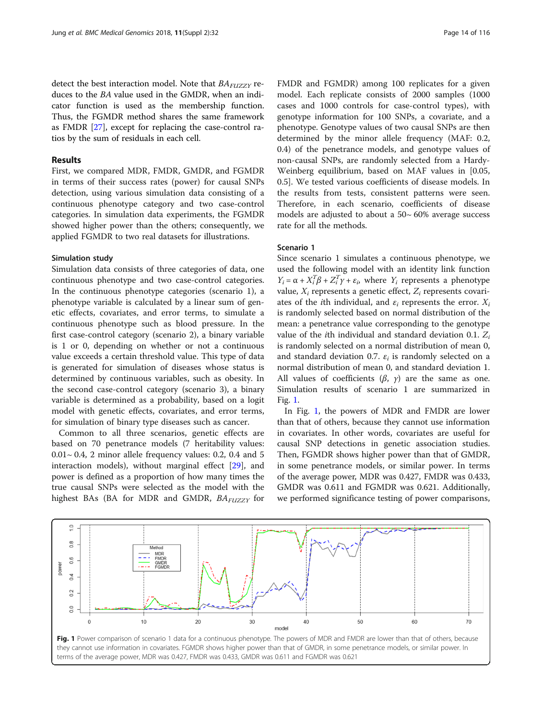<span id="page-3-0"></span>detect the best interaction model. Note that  $BA_{FUZZY}$  reduces to the BA value used in the GMDR, when an indicator function is used as the membership function. Thus, the FGMDR method shares the same framework as FMDR [[27\]](#page-9-0), except for replacing the case-control ratios by the sum of residuals in each cell.

## Results

First, we compared MDR, FMDR, GMDR, and FGMDR in terms of their success rates (power) for causal SNPs detection, using various simulation data consisting of a continuous phenotype category and two case-control categories. In simulation data experiments, the FGMDR showed higher power than the others; consequently, we applied FGMDR to two real datasets for illustrations.

## Simulation study

Simulation data consists of three categories of data, one continuous phenotype and two case-control categories. In the continuous phenotype categories (scenario 1), a phenotype variable is calculated by a linear sum of genetic effects, covariates, and error terms, to simulate a continuous phenotype such as blood pressure. In the first case-control category (scenario 2), a binary variable is 1 or 0, depending on whether or not a continuous value exceeds a certain threshold value. This type of data is generated for simulation of diseases whose status is determined by continuous variables, such as obesity. In the second case-control category (scenario 3), a binary variable is determined as a probability, based on a logit model with genetic effects, covariates, and error terms, for simulation of binary type diseases such as cancer.

Common to all three scenarios, genetic effects are based on 70 penetrance models (7 heritability values:  $0.01 \sim 0.4$ , 2 minor allele frequency values: 0.2, 0.4 and 5 interaction models), without marginal effect [[29\]](#page-9-0), and power is defined as a proportion of how many times the true causal SNPs were selected as the model with the highest BAs (BA for MDR and GMDR,  $BA_{FUZZY}$  for

FMDR and FGMDR) among 100 replicates for a given model. Each replicate consists of 2000 samples (1000 cases and 1000 controls for case-control types), with genotype information for 100 SNPs, a covariate, and a phenotype. Genotype values of two causal SNPs are then determined by the minor allele frequency (MAF: 0.2, 0.4) of the penetrance models, and genotype values of non-causal SNPs, are randomly selected from a Hardy-Weinberg equilibrium, based on MAF values in [0.05, 0.5]. We tested various coefficients of disease models. In the results from tests, consistent patterns were seen. Therefore, in each scenario, coefficients of disease models are adjusted to about a 50~ 60% average success rate for all the methods.

## Scenario 1

Since scenario 1 simulates a continuous phenotype, we used the following model with an identity link function  $Y_i = \alpha + X_i^T \beta + Z_i^T \gamma + \varepsilon_i$ , where  $Y_i$  represents a phenotype<br>value X represents a genetic effect. Z represents covarivalue,  $X_i$  represents a genetic effect,  $Z_i$  represents covariates of the *i*th individual, and  $\varepsilon_i$  represents the error.  $X_i$ is randomly selected based on normal distribution of the mean: a penetrance value corresponding to the genotype value of the *i*th individual and standard deviation 0.1.  $Z_i$ is randomly selected on a normal distribution of mean 0, and standard deviation 0.7.  $\varepsilon_i$  is randomly selected on a normal distribution of mean 0, and standard deviation 1. All values of coefficients  $(\beta, \gamma)$  are the same as one. Simulation results of scenario 1 are summarized in Fig. 1.

In Fig. 1, the powers of MDR and FMDR are lower than that of others, because they cannot use information in covariates. In other words, covariates are useful for causal SNP detections in genetic association studies. Then, FGMDR shows higher power than that of GMDR, in some penetrance models, or similar power. In terms of the average power, MDR was 0.427, FMDR was 0.433, GMDR was 0.611 and FGMDR was 0.621. Additionally, we performed significance testing of power comparisons,

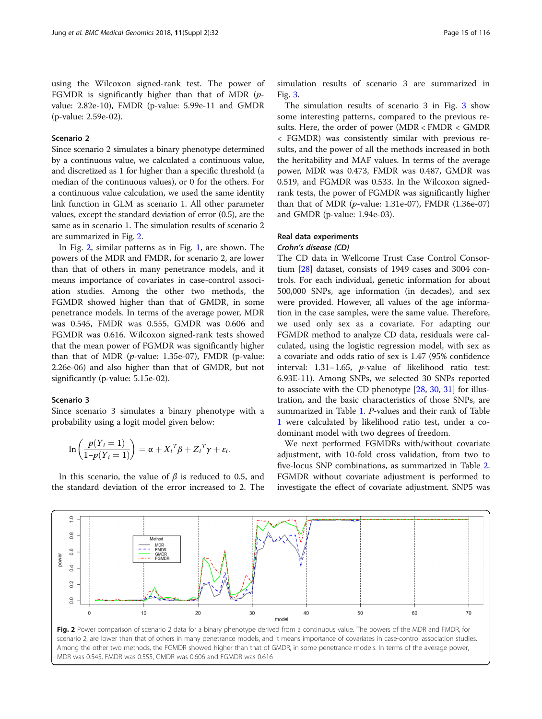using the Wilcoxon signed-rank test. The power of FGMDR is significantly higher than that of MDR  $(p$ value: 2.82e-10), FMDR (p-value: 5.99e-11 and GMDR (p-value: 2.59e-02).

### Scenario 2

Since scenario 2 simulates a binary phenotype determined by a continuous value, we calculated a continuous value, and discretized as 1 for higher than a specific threshold (a median of the continuous values), or 0 for the others. For a continuous value calculation, we used the same identity link function in GLM as scenario 1. All other parameter values, except the standard deviation of error (0.5), are the same as in scenario 1. The simulation results of scenario 2 are summarized in Fig. 2.

In Fig. 2, similar patterns as in Fig. [1](#page-3-0), are shown. The powers of the MDR and FMDR, for scenario 2, are lower than that of others in many penetrance models, and it means importance of covariates in case-control association studies. Among the other two methods, the FGMDR showed higher than that of GMDR, in some penetrance models. In terms of the average power, MDR was 0.545, FMDR was 0.555, GMDR was 0.606 and FGMDR was 0.616. Wilcoxon signed-rank tests showed that the mean power of FGMDR was significantly higher than that of MDR ( $p$ -value: 1.35e-07), FMDR ( $p$ -value: 2.26e-06) and also higher than that of GMDR, but not significantly (p-value: 5.15e-02).

#### Scenario 3

Since scenario 3 simulates a binary phenotype with a probability using a logit model given below:

$$
\ln\left(\frac{p(Y_i=1)}{1-p(Y_i=1)}\right) = \alpha + X_i^T \beta + Z_i^T \gamma + \varepsilon_i.
$$

In this scenario, the value of  $\beta$  is reduced to 0.5, and the standard deviation of the error increased to 2. The simulation results of scenario 3 are summarized in Fig. [3](#page-5-0).

The simulation results of scenario 3 in Fig. [3](#page-5-0) show some interesting patterns, compared to the previous results. Here, the order of power (MDR < FMDR < GMDR < FGMDR) was consistently similar with previous results, and the power of all the methods increased in both the heritability and MAF values. In terms of the average power, MDR was 0.473, FMDR was 0.487, GMDR was 0.519, and FGMDR was 0.533. In the Wilcoxon signedrank tests, the power of FGMDR was significantly higher than that of MDR ( $p$ -value: 1.31e-07), FMDR (1.36e-07) and GMDR (p-value: 1.94e-03).

## Real data experiments

## Crohn's disease (CD)

The CD data in Wellcome Trust Case Control Consortium [[28\]](#page-9-0) dataset, consists of 1949 cases and 3004 controls. For each individual, genetic information for about 500,000 SNPs, age information (in decades), and sex were provided. However, all values of the age information in the case samples, were the same value. Therefore, we used only sex as a covariate. For adapting our FGMDR method to analyze CD data, residuals were calculated, using the logistic regression model, with sex as a covariate and odds ratio of sex is 1.47 (95% confidence interval: 1.31–1.65, p-value of likelihood ratio test: 6.93E-11). Among SNPs, we selected 30 SNPs reported to associate with the CD phenotype [[28](#page-9-0), [30](#page-9-0), [31](#page-9-0)] for illustration, and the basic characteristics of those SNPs, are summarized in Table [1.](#page-5-0) P-values and their rank of Table [1](#page-5-0) were calculated by likelihood ratio test, under a codominant model with two degrees of freedom.

We next performed FGMDRs with/without covariate adjustment, with 10-fold cross validation, from two to five-locus SNP combinations, as summarized in Table [2](#page-6-0). FGMDR without covariate adjustment is performed to investigate the effect of covariate adjustment. SNP5 was



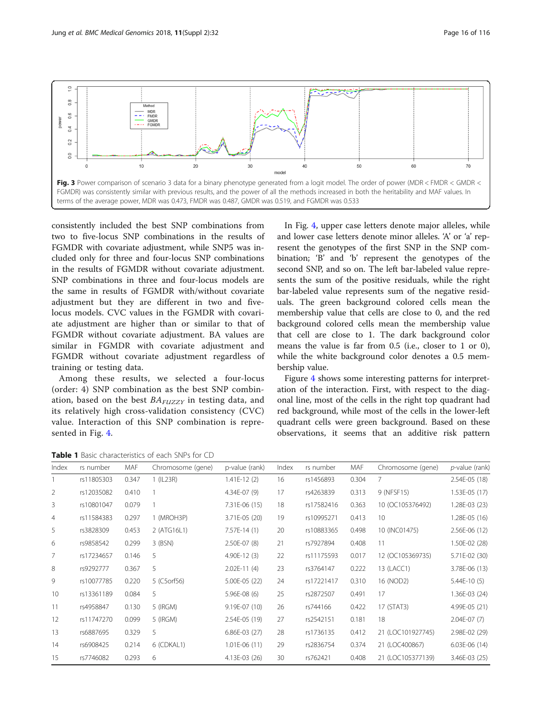<span id="page-5-0"></span>

consistently included the best SNP combinations from two to five-locus SNP combinations in the results of FGMDR with covariate adjustment, while SNP5 was included only for three and four-locus SNP combinations in the results of FGMDR without covariate adjustment. SNP combinations in three and four-locus models are the same in results of FGMDR with/without covariate adjustment but they are different in two and fivelocus models. CVC values in the FGMDR with covariate adjustment are higher than or similar to that of FGMDR without covariate adjustment. BA values are similar in FGMDR with covariate adjustment and FGMDR without covariate adjustment regardless of training or testing data.

Among these results, we selected a four-locus (order: 4) SNP combination as the best SNP combination, based on the best  $BA_{FUZZY}$  in testing data, and its relatively high cross-validation consistency (CVC) value. Interaction of this SNP combination is represented in Fig. [4.](#page-6-0)

In Fig. [4](#page-6-0), upper case letters denote major alleles, while and lower case letters denote minor alleles. 'A' or 'a' represent the genotypes of the first SNP in the SNP combination; 'B' and 'b' represent the genotypes of the second SNP, and so on. The left bar-labeled value represents the sum of the positive residuals, while the right bar-labeled value represents sum of the negative residuals. The green background colored cells mean the membership value that cells are close to 0, and the red background colored cells mean the membership value that cell are close to 1. The dark background color means the value is far from 0.5 (i.e., closer to 1 or 0), while the white background color denotes a 0.5 membership value.

Figure [4](#page-6-0) shows some interesting patterns for interpretation of the interaction. First, with respect to the diagonal line, most of the cells in the right top quadrant had red background, while most of the cells in the lower-left quadrant cells were green background. Based on these observations, it seems that an additive risk pattern

| Index          | rs number  | MAF   | Chromosome (gene) | p-value (rank) | Index | rs number  | MAF   | Chromosome (gene) | p-value (rank) |
|----------------|------------|-------|-------------------|----------------|-------|------------|-------|-------------------|----------------|
|                | rs11805303 | 0.347 | $1$ (IL23R)       | $1.41E-12(2)$  | 16    | rs1456893  | 0.304 | 7                 | 2.54E-05 (18)  |
| $\overline{2}$ | rs12035082 | 0.410 |                   | 4.34E-07 (9)   | 17    | rs4263839  | 0.313 | 9 (NFSF15)        | 1.53E-05 (17)  |
| 3              | rs10801047 | 0.079 |                   | 7.31E-06 (15)  | 18    | rs17582416 | 0.363 | 10 (OC105376492)  | 1.28E-03 (23)  |
| 4              | rs11584383 | 0.297 | 1 (MROH3P)        | 3.71E-05 (20)  | 19    | rs10995271 | 0.413 | 10                | 1.28E-05 (16)  |
| 5              | rs3828309  | 0.453 | 2 (ATG16L1)       | $7.57E-14(1)$  | 20    | rs10883365 | 0.498 | 10 (INC01475)     | 2.56E-06 (12)  |
| 6              | rs9858542  | 0.299 | $3$ (BSN)         | 2.50E-07 (8)   | 21    | rs7927894  | 0.408 | 11                | 1.50E-02 (28)  |
| 7              | rs17234657 | 0.146 | 5                 | 4.90E-12 (3)   | 22    | rs11175593 | 0.017 | 12 (OC105369735)  | 5.71E-02 (30)  |
| 8              | rs9292777  | 0.367 | 5                 | $2.02E-11(4)$  | 23    | rs3764147  | 0.222 | 13 (LACC1)        | 3.78E-06 (13)  |
| 9              | rs10077785 | 0.220 | 5 (C5orf56)       | 5.00E-05 (22)  | 24    | rs17221417 | 0.310 | 16 (NOD2)         | $5.44E-10(5)$  |
| 10             | rs13361189 | 0.084 | 5                 | $5.96E-08(6)$  | 25    | rs2872507  | 0.491 | 17                | 1.36E-03 (24)  |
| 11             | rs4958847  | 0.130 | 5 (IRGM)          | 9.19E-07 (10)  | 26    | rs744166   | 0.422 | 17 (STAT3)        | 4.99E-05 (21)  |
| 12             | rs11747270 | 0.099 | 5 (IRGM)          | 2.54E-05 (19)  | 27    | rs2542151  | 0.181 | 18                | $2.04E-07(7)$  |
| 13             | rs6887695  | 0.329 | 5                 | $6.86E-03(27)$ | 28    | rs1736135  | 0.412 | 21 (LOC101927745) | 2.98E-02 (29)  |
| 14             | rs6908425  | 0.214 | 6 (CDKAL1)        | $1.01E-06(11)$ | 29    | rs2836754  | 0.374 | 21 (LOC400867)    | $6.03E-06(14)$ |
| 15             | rs7746082  | 0.293 | 6                 | 4.13E-03 (26)  | 30    | rs762421   | 0.408 | 21 (LOC105377139) | 3.46E-03 (25)  |

Table 1 Basic characteristics of each SNPs for CD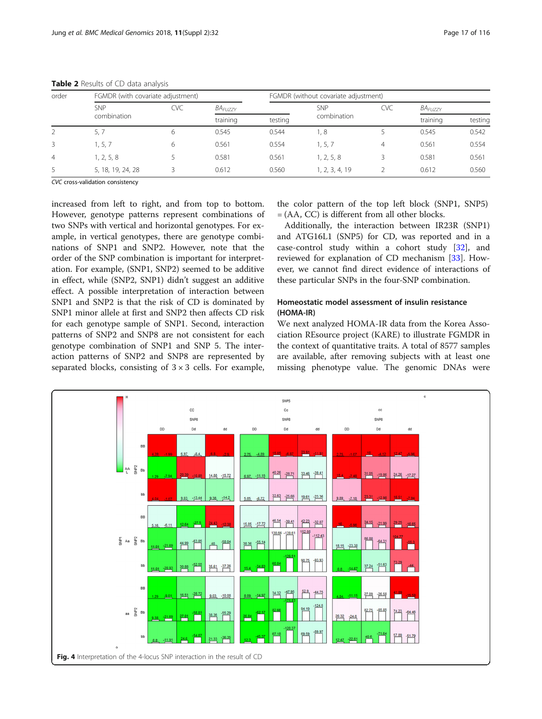| order          | FGMDR (with covariate adjustment) |     |                     | FGMDR (without covariate adjustment) |                |            |          |         |  |
|----------------|-----------------------------------|-----|---------------------|--------------------------------------|----------------|------------|----------|---------|--|
|                | <b>SNP</b>                        | CVC | BA <sub>FUZZY</sub> |                                      | <b>SNP</b>     | <b>CVC</b> | BAF1ZZY  |         |  |
|                | combination                       |     | training            | testing                              | combination    |            | training | testing |  |
|                | 5, 7                              | 6   | 0.545               | 0.544                                | 1, 8           |            | 0.545    | 0.542   |  |
| 3              | 1, 5, 7                           | 6   | 0.561               | 0.554                                | i, 5, 7        | 4          | 0.561    | 0.554   |  |
| $\overline{4}$ | 1, 2, 5, 8                        |     | 0.581               | 0.561                                | 1, 2, 5, 8     |            | 0.581    | 0.561   |  |
| .5             | 5, 18, 19, 24, 28                 |     | 0.612               | 0.560                                | 1, 2, 3, 4, 19 |            | 0.612    | 0.560   |  |

<span id="page-6-0"></span>Table 2 Results of CD data analysis

CVC cross-validation consistency

increased from left to right, and from top to bottom. However, genotype patterns represent combinations of two SNPs with vertical and horizontal genotypes. For example, in vertical genotypes, there are genotype combinations of SNP1 and SNP2. However, note that the order of the SNP combination is important for interpretation. For example, (SNP1, SNP2) seemed to be additive in effect, while (SNP2, SNP1) didn't suggest an additive effect. A possible interpretation of interaction between SNP1 and SNP2 is that the risk of CD is dominated by SNP1 minor allele at first and SNP2 then affects CD risk for each genotype sample of SNP1. Second, interaction patterns of SNP2 and SNP8 are not consistent for each genotype combination of SNP1 and SNP 5. The interaction patterns of SNP2 and SNP8 are represented by separated blocks, consisting of  $3 \times 3$  cells. For example, the color pattern of the top left block (SNP1, SNP5) = (AA, CC) is different from all other blocks.

Additionally, the interaction between IR23R (SNP1) and ATG16L1 (SNP5) for CD, was reported and in a case-control study within a cohort study [\[32](#page-9-0)], and reviewed for explanation of CD mechanism [\[33](#page-9-0)]. However, we cannot find direct evidence of interactions of these particular SNPs in the four-SNP combination.

## Homeostatic model assessment of insulin resistance (HOMA-IR)

We next analyzed HOMA-IR data from the Korea Association REsource project (KARE) to illustrate FGMDR in the context of quantitative traits. A total of 8577 samples are available, after removing subjects with at least one missing phenotype value. The genomic DNAs were

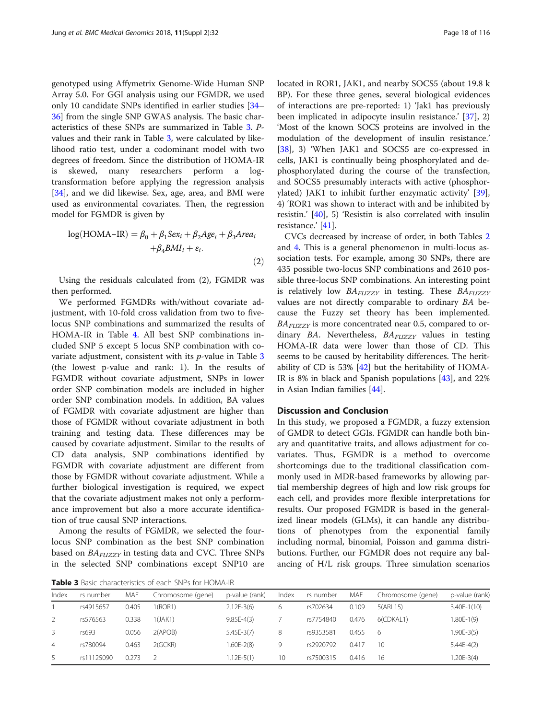genotyped using Affymetrix Genome-Wide Human SNP Array 5.0. For GGI analysis using our FGMDR, we used only 10 candidate SNPs identified in earlier studies [[34](#page-9-0)– [36\]](#page-9-0) from the single SNP GWAS analysis. The basic characteristics of these SNPs are summarized in Table 3. Pvalues and their rank in Table 3, were calculated by likelihood ratio test, under a codominant model with two degrees of freedom. Since the distribution of HOMA-IR is skewed, many researchers perform a logtransformation before applying the regression analysis [[34\]](#page-9-0), and we did likewise. Sex, age, area, and BMI were used as environmental covariates. Then, the regression model for FGMDR is given by

$$
log(HOMA-IR) = \beta_0 + \beta_1 Sex_i + \beta_2 Age_i + \beta_3 Area_i
$$

$$
+ \beta_4 BMI_i + \varepsilon_i.
$$

$$
(2)
$$

Using the residuals calculated from (2), FGMDR was then performed.

We performed FGMDRs with/without covariate adjustment, with 10-fold cross validation from two to fivelocus SNP combinations and summarized the results of HOMA-IR in Table [4.](#page-8-0) All best SNP combinations included SNP 5 except 5 locus SNP combination with covariate adjustment, consistent with its  $p$ -value in Table  $3$ (the lowest p-value and rank: 1). In the results of FGMDR without covariate adjustment, SNPs in lower order SNP combination models are included in higher order SNP combination models. In addition, BA values of FGMDR with covariate adjustment are higher than those of FGMDR without covariate adjustment in both training and testing data. These differences may be caused by covariate adjustment. Similar to the results of CD data analysis, SNP combinations identified by FGMDR with covariate adjustment are different from those by FGMDR without covariate adjustment. While a further biological investigation is required, we expect that the covariate adjustment makes not only a performance improvement but also a more accurate identification of true causal SNP interactions.

Among the results of FGMDR, we selected the fourlocus SNP combination as the best SNP combination based on  $BA_{FUZZY}$  in testing data and CVC. Three SNPs in the selected SNP combinations except SNP10 are located in ROR1, JAK1, and nearby SOCS5 (about 19.8 k BP). For these three genes, several biological evidences of interactions are pre-reported: 1) 'Jak1 has previously been implicated in adipocyte insulin resistance.' [\[37](#page-9-0)], 2) 'Most of the known SOCS proteins are involved in the modulation of the development of insulin resistance.' [[38\]](#page-9-0), 3) 'When JAK1 and SOCS5 are co-expressed in cells, JAK1 is continually being phosphorylated and dephosphorylated during the course of the transfection, and SOCS5 presumably interacts with active (phosphorylated) JAK1 to inhibit further enzymatic activity' [\[39](#page-9-0)], 4) 'ROR1 was shown to interact with and be inhibited by resistin.' [\[40](#page-9-0)], 5) 'Resistin is also correlated with insulin resistance.' [[41\]](#page-9-0).

CVCs decreased by increase of order, in both Tables [2](#page-6-0) and [4](#page-8-0). This is a general phenomenon in multi-locus association tests. For example, among 30 SNPs, there are 435 possible two-locus SNP combinations and 2610 possible three-locus SNP combinations. An interesting point is relatively low  $BA_{FUZZY}$  in testing. These  $BA_{FUZZY}$ values are not directly comparable to ordinary BA because the Fuzzy set theory has been implemented.  $BA_{FUZZY}$  is more concentrated near 0.5, compared to ordinary BA. Nevertheless,  $BA_{FUZZY}$  values in testing HOMA-IR data were lower than those of CD. This seems to be caused by heritability differences. The heritability of CD is 53% [[42\]](#page-9-0) but the heritability of HOMA-IR is 8% in black and Spanish populations [\[43](#page-9-0)], and 22% in Asian Indian families [\[44](#page-9-0)].

## Discussion and Conclusion

In this study, we proposed a FGMDR, a fuzzy extension of GMDR to detect GGIs. FGMDR can handle both binary and quantitative traits, and allows adjustment for covariates. Thus, FGMDR is a method to overcome shortcomings due to the traditional classification commonly used in MDR-based frameworks by allowing partial membership degrees of high and low risk groups for each cell, and provides more flexible interpretations for results. Our proposed FGMDR is based in the generalized linear models (GLMs), it can handle any distributions of phenotypes from the exponential family including normal, binomial, Poisson and gamma distributions. Further, our FGMDR does not require any balancing of H/L risk groups. Three simulation scenarios

Table 3 Basic characteristics of each SNPs for HOMA-IR

|       | <b>TUDIE 3</b> DUSIC CHURCICHSUCS OF CUCH SHOT FIORITY IN |       |                   |                |       |           |       |                   |                |  |  |
|-------|-----------------------------------------------------------|-------|-------------------|----------------|-------|-----------|-------|-------------------|----------------|--|--|
| Index | rs number                                                 | MAF   | Chromosome (gene) | p-value (rank) | Index | rs number | MAF   | Chromosome (gene) | p-value (rank) |  |  |
|       | rs4915657                                                 | 0.405 | 1(ROR1)           | $2.12E-3(6)$   | 6     | rs702634  | 0.109 | 5(ARL15)          | $3.40E-1(10)$  |  |  |
| 2     | rs576563                                                  | 0.338 | 1 (JAK1)          | $9.85E-4(3)$   |       | rs7754840 | 0.476 | 6(CDKAL1)         | 1.80E-1(9)     |  |  |
| 3     | rs693                                                     | 0.056 | 2(APOB)           | $5.45E-3(7)$   | 8     | rs9353581 | 0.455 | -6                | 1.90E-3(5)     |  |  |
| 4     | rs780094                                                  | 0.463 | 2(GCKR)           | 1.60E-2(8)     | Q     | rs2920792 | 0.417 | 10                | $5.44E-4(2)$   |  |  |
| .5    | 1125090<br>rs 1                                           | 0.273 |                   | $1.12E-5(1)$   | 10    | rs7500315 | 0.416 | 16                | $1.20E-3(4)$   |  |  |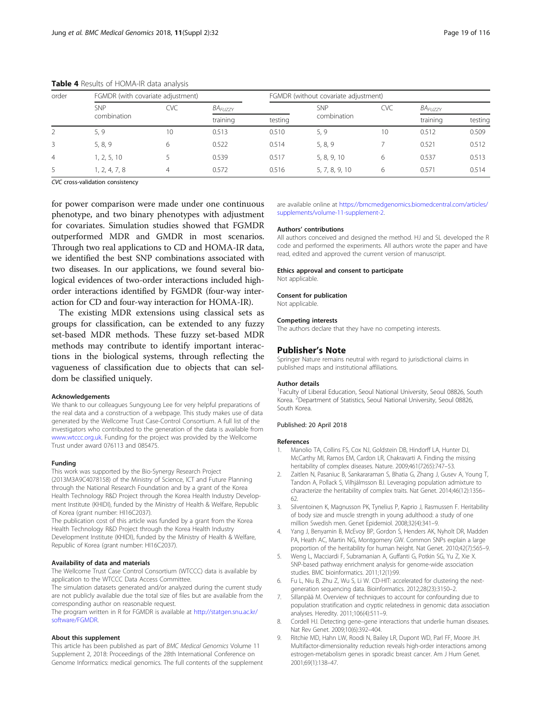| order          | FGMDR (with covariate adjustment) |     |                     | FGMDR (without covariate adjustment) |                |            |                     |         |  |
|----------------|-----------------------------------|-----|---------------------|--------------------------------------|----------------|------------|---------------------|---------|--|
|                | <b>SNP</b>                        | CVC | BA <sub>FUZZY</sub> |                                      | <b>SNP</b>     | <b>CVC</b> | BA <sub>FUZZY</sub> |         |  |
|                | combination                       |     | training            | testing                              | combination    |            | training            | testing |  |
|                | 5, 9                              | 10  | 0.513               | 0.510                                | 5, 9           | 10         | 0.512               | 0.509   |  |
|                | 5, 8, 9                           | 6   | 0.522               | 0.514                                | 5, 8, 9        |            | 0.521               | 0.512   |  |
| $\overline{4}$ | 1, 2, 5, 10                       |     | 0.539               | 0.517                                | 5, 8, 9, 10    | 6          | 0.537               | 0.513   |  |
| .5             | 1, 2, 4, 7, 8                     | 4   | 0.572               | 0.516                                | 5, 7, 8, 9, 10 | 6          | 0.571               | 0.514   |  |

<span id="page-8-0"></span>Table 4 Results of HOMA-IR data analysis

CVC cross-validation consistency

for power comparison were made under one continuous phenotype, and two binary phenotypes with adjustment for covariates. Simulation studies showed that FGMDR outperformed MDR and GMDR in most scenarios. Through two real applications to CD and HOMA-IR data, we identified the best SNP combinations associated with two diseases. In our applications, we found several biological evidences of two-order interactions included highorder interactions identified by FGMDR (four-way interaction for CD and four-way interaction for HOMA-IR).

The existing MDR extensions using classical sets as groups for classification, can be extended to any fuzzy set-based MDR methods. These fuzzy set-based MDR methods may contribute to identify important interactions in the biological systems, through reflecting the vagueness of classification due to objects that can seldom be classified uniquely.

#### Acknowledgements

We thank to our colleagues Sungyoung Lee for very helpful preparations of the real data and a construction of a webpage. This study makes use of data generated by the Wellcome Trust Case-Control Consortium. A full list of the investigators who contributed to the generation of the data is available from [www.wtccc.org.uk](http://www.wtccc.org.uk). Funding for the project was provided by the Wellcome Trust under award 076113 and 085475.

#### Funding

This work was supported by the Bio-Synergy Research Project (2013M3A9C4078158) of the Ministry of Science, ICT and Future Planning through the National Research Foundation and by a grant of the Korea Health Technology R&D Project through the Korea Health Industry Development Institute (KHIDI), funded by the Ministry of Health & Welfare, Republic of Korea (grant number: HI16C2037).

The publication cost of this article was funded by a grant from the Korea Health Technology R&D Project through the Korea Health Industry Development Institute (KHIDI), funded by the Ministry of Health & Welfare, Republic of Korea (grant number: HI16C2037).

#### Availability of data and materials

The Wellcome Trust Case Control Consortium (WTCCC) data is available by application to the WTCCC Data Access Committee.

The simulation datasets generated and/or analyzed during the current study are not publicly available due the total size of files but are available from the corresponding author on reasonable request.

The program written in R for FGMDR is available at [http://statgen.snu.ac.kr/](http://statgen.snu.ac.kr/software/FGMDR) [software/FGMDR](http://statgen.snu.ac.kr/software/FGMDR).

#### About this supplement

This article has been published as part of BMC Medical Genomics Volume 11 Supplement 2, 2018: Proceedings of the 28th International Conference on Genome Informatics: medical genomics. The full contents of the supplement are available online at [https://bmcmedgenomics.biomedcentral.com/articles/](https://bmcmedgenomics.biomedcentral.com/articles/supplements/volume-11-supplement-2) [supplements/volume-11-supplement-2.](https://bmcmedgenomics.biomedcentral.com/articles/supplements/volume-11-supplement-2)

#### Authors' contributions

All authors conceived and designed the method. HJ and SL developed the R code and performed the experiments. All authors wrote the paper and have read, edited and approved the current version of manuscript.

#### Ethics approval and consent to participate

Not applicable.

## Consent for publication

Not applicable.

#### Competing interests

The authors declare that they have no competing interests.

#### Publisher's Note

Springer Nature remains neutral with regard to jurisdictional claims in published maps and institutional affiliations.

#### Author details

<sup>1</sup> Faculty of Liberal Education, Seoul National University, Seoul 08826, South Korea. <sup>2</sup> Department of Statistics, Seoul National University, Seoul 08826 South Korea.

#### Published: 20 April 2018

#### References

- Manolio TA, Collins FS, Cox NJ, Goldstein DB, Hindorff LA, Hunter DJ, McCarthy MI, Ramos EM, Cardon LR, Chakravarti A. Finding the missing heritability of complex diseases. Nature. 2009;461(7265):747–53.
- Zaitlen N, Pasaniuc B, Sankararaman S, Bhatia G, Zhang J, Gusev A, Young T, Tandon A, Pollack S, Vilhjálmsson BJ. Leveraging population admixture to characterize the heritability of complex traits. Nat Genet. 2014;46(12):1356– 62.
- 3. Silventoinen K, Magnusson PK, Tynelius P, Kaprio J, Rasmussen F. Heritability of body size and muscle strength in young adulthood: a study of one million Swedish men. Genet Epidemiol. 2008;32(4):341–9.
- Yang J, Benyamin B, McEvoy BP, Gordon S, Henders AK, Nyholt DR, Madden PA, Heath AC, Martin NG, Montgomery GW. Common SNPs explain a large proportion of the heritability for human height. Nat Genet. 2010;42(7):565–9.
- 5. Weng L, Macciardi F, Subramanian A, Guffanti G, Potkin SG, Yu Z, Xie X. SNP-based pathway enrichment analysis for genome-wide association studies. BMC bioinformatics. 2011;12(1):99.
- 6. Fu L, Niu B, Zhu Z, Wu S, Li W. CD-HIT: accelerated for clustering the nextgeneration sequencing data. Bioinformatics. 2012;28(23):3150–2.
- 7. Sillanpää M. Overview of techniques to account for confounding due to population stratification and cryptic relatedness in genomic data association analyses. Heredity. 2011;106(4):511–9.
- 8. Cordell HJ. Detecting gene–gene interactions that underlie human diseases. Nat Rev Genet. 2009;10(6):392–404.
- 9. Ritchie MD, Hahn LW, Roodi N, Bailey LR, Dupont WD, Parl FF, Moore JH. Multifactor-dimensionality reduction reveals high-order interactions among estrogen-metabolism genes in sporadic breast cancer. Am J Hum Genet. 2001;69(1):138–47.